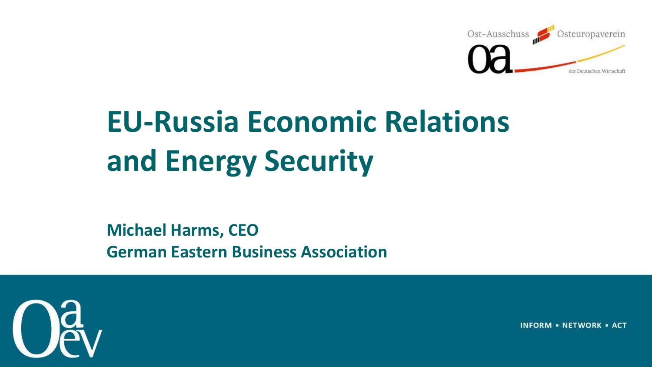

# **EU-Russia Economic Relations and Energy Security**

**Michael Harms, CEO German Eastern Business Association**



**INFORM - NETWORK - ACT**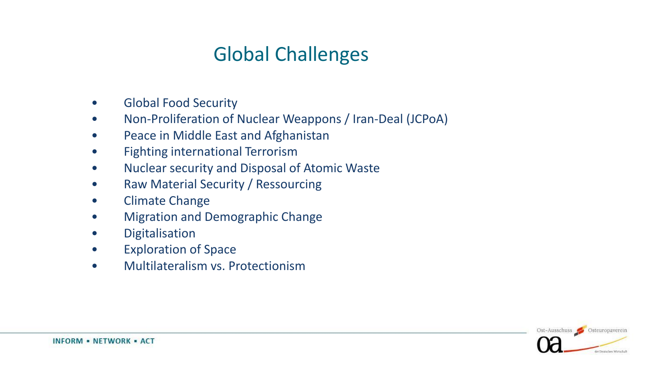# Global Challenges

- Global Food Security
- Non-Proliferation of Nuclear Weappons / Iran-Deal (JCPoA)
- Peace in Middle East and Afghanistan
- Fighting international Terrorism
- Nuclear security and Disposal of Atomic Waste
- Raw Material Security / Ressourcing
- Climate Change
- Migration and Demographic Change
- Digitalisation
- Exploration of Space
- Multilateralism vs. Protectionism

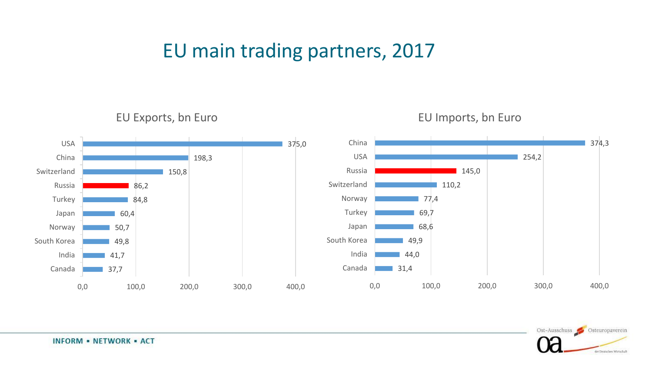### EU main trading partners, 2017

EU Exports, bn Euro





Ost-Ausschuss Costeuropaverein der Deutschen Wirtschaft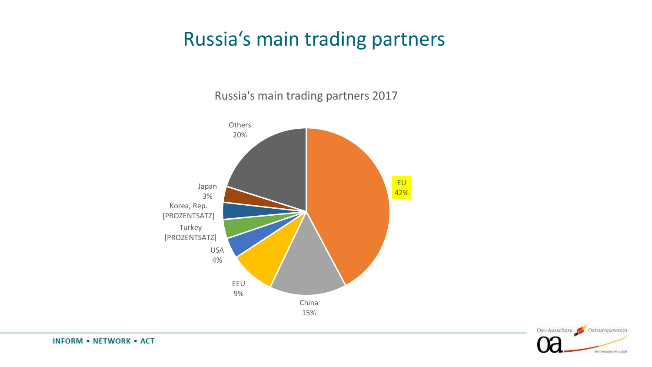### Russia's main trading partners

Russia's main trading partners 2017



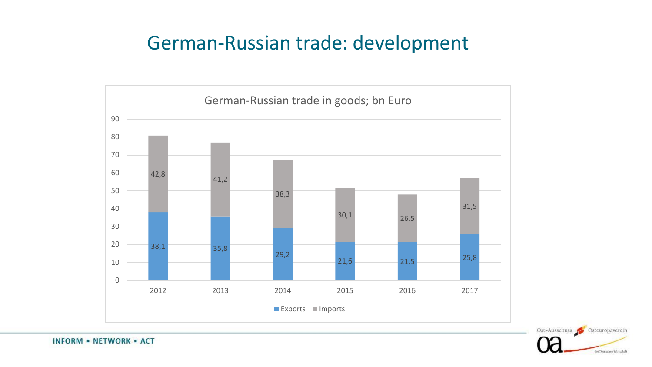### German-Russian trade: development



Ost-Ausschuss Costeuropaverein fer Deutschen Wirtschaft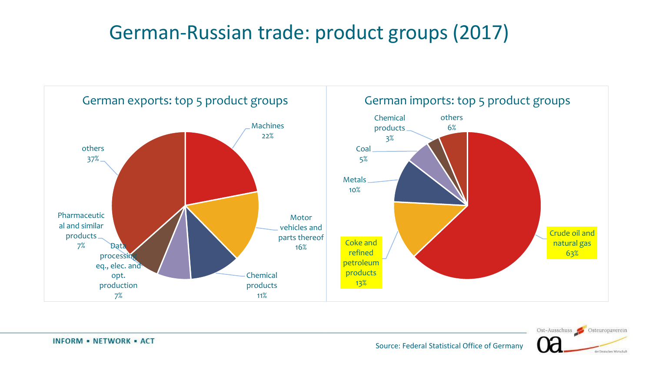### German-Russian trade: product groups (2017)



Ost-Ausschuss Costeuropaverein fer Deutschen Wirtschaft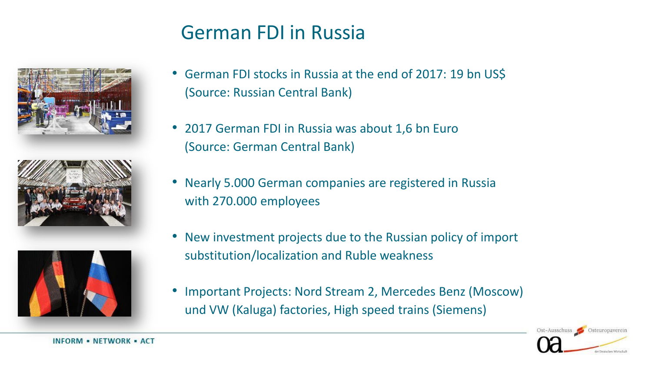### German FDI in Russia







- German FDI stocks in Russia at the end of 2017: 19 bn US\$ (Source: Russian Central Bank)
- 2017 German FDI in Russia was about 1,6 bn Euro (Source: German Central Bank)
- Nearly 5.000 German companies are registered in Russia with 270.000 employees
- New investment projects due to the Russian policy of import substitution/localization and Ruble weakness
- Important Projects: Nord Stream 2, Mercedes Benz (Moscow) und VW (Kaluga) factories, High speed trains (Siemens)

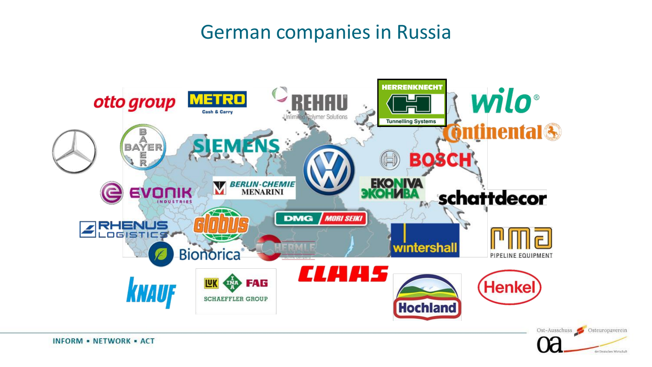### German companies in Russia

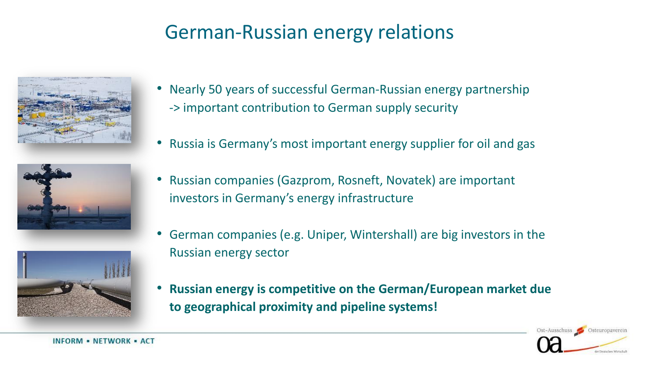### German-Russian energy relations







- Nearly 50 years of successful German-Russian energy partnership -> important contribution to German supply security
- Russia is Germany's most important energy supplier for oil and gas
- Russian companies (Gazprom, Rosneft, Novatek) are important investors in Germany's energy infrastructure
- German companies (e.g. Uniper, Wintershall) are big investors in the Russian energy sector
- **Russian energy is competitive on the German/European market due to geographical proximity and pipeline systems!**

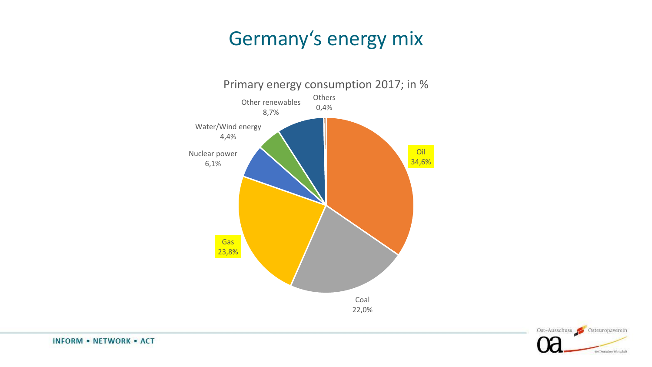### Germany's energy mix



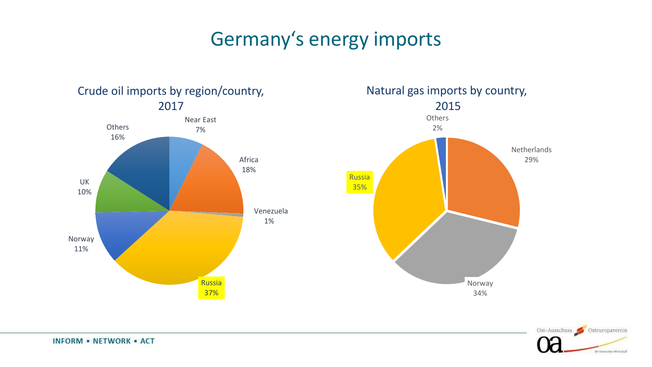# Germany's energy imports



**INFORM - NETWORK - ACT**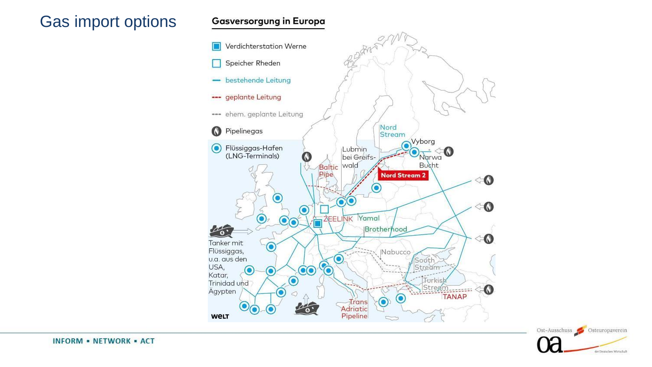### Gas import options

#### **Gasversorgung in Europa**





**INFORM - NETWORK - ACT**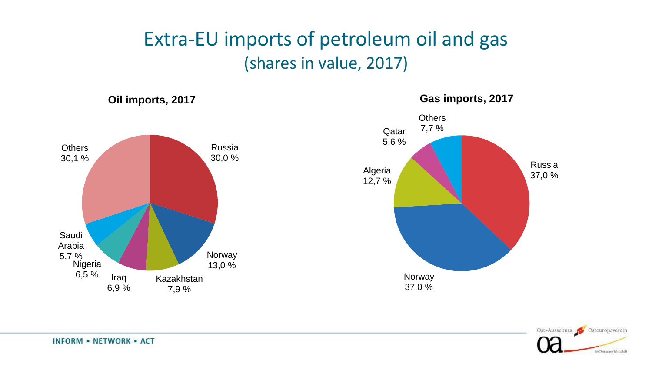### Extra-EU imports of petroleum oil and gas (shares in value, 2017)





#### **Gas imports, 2017**

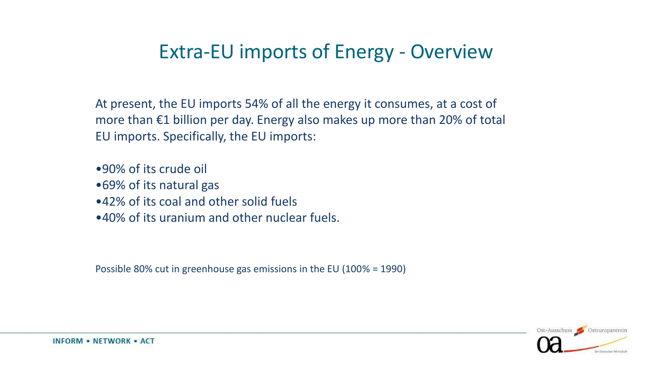### Extra-EU imports of Energy - Overview

At present, the EU imports 54% of all the energy it consumes, at a cost of more than €1 billion per day. Energy also makes up more than 20% of total EU imports. Specifically, the EU imports:

•90% of its crude oil •69% of its natural gas •42% of its coal and other solid fuels •40% of its uranium and other nuclear fuels.

Possible 80% cut in greenhouse gas emissions in the EU (100% = 1990)

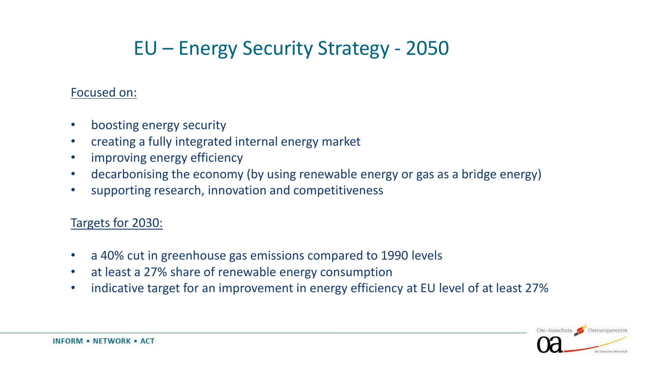# EU – Energy Security Strategy - 2050

### Focused on:

- boosting energy security
- creating a fully integrated internal energy market
- improving energy efficiency
- decarbonising the economy (by using renewable energy or gas as a bridge energy)
- supporting research, innovation and competitiveness

### Targets for 2030:

- a 40% cut in greenhouse gas emissions compared to 1990 levels
- at least a 27% share of renewable energy consumption
- indicative target for an improvement in energy efficiency at EU level of at least 27%

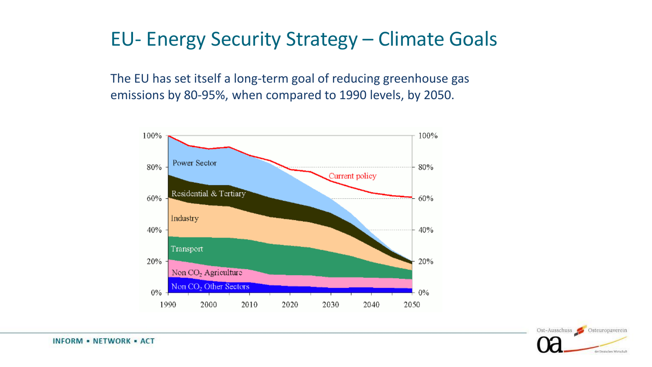### EU- Energy Security Strategy – Climate Goals

The EU has set itself a long-term goal of reducing greenhouse gas emissions by 80-95%, when compared to 1990 levels, by 2050.



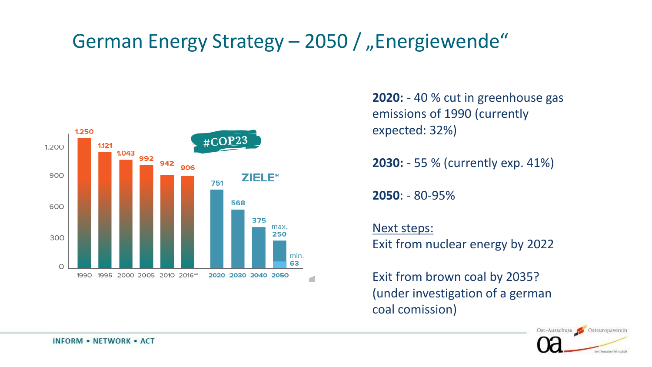## German Energy Strategy – 2050 / "Energiewende"



**2020:** - 40 % cut in greenhouse gas emissions of 1990 (currently expected: 32%)

**2030:** - 55 % (currently exp. 41%)

**2050**: - 80-95%

Next steps: Exit from nuclear energy by 2022

Exit from brown coal by 2035? (under investigation of a german coal comission)

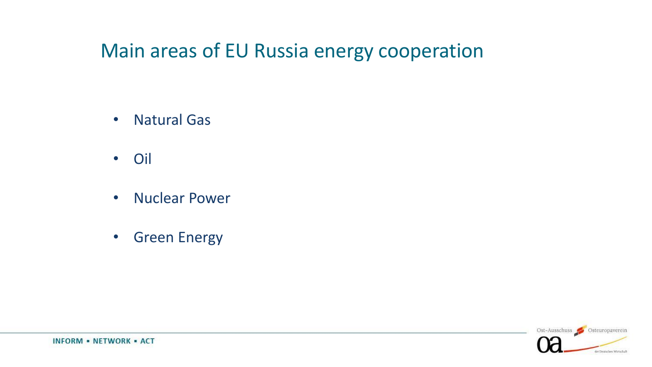### Main areas of EU Russia energy cooperation

- Natural Gas
- Oil
- Nuclear Power
- Green Energy

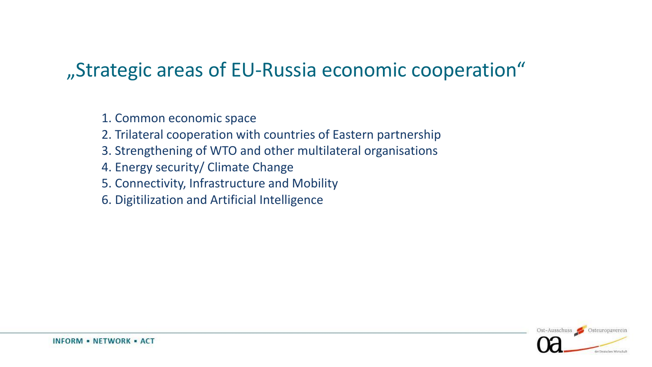### "Strategic areas of EU-Russia economic cooperation"

1. Common economic space

- 2. Trilateral cooperation with countries of Eastern partnership
- 3. Strengthening of WTO and other multilateral organisations
- 4. Energy security/ Climate Change
- 5. Connectivity, Infrastructure and Mobility
- 6. Digitilization and Artificial Intelligence